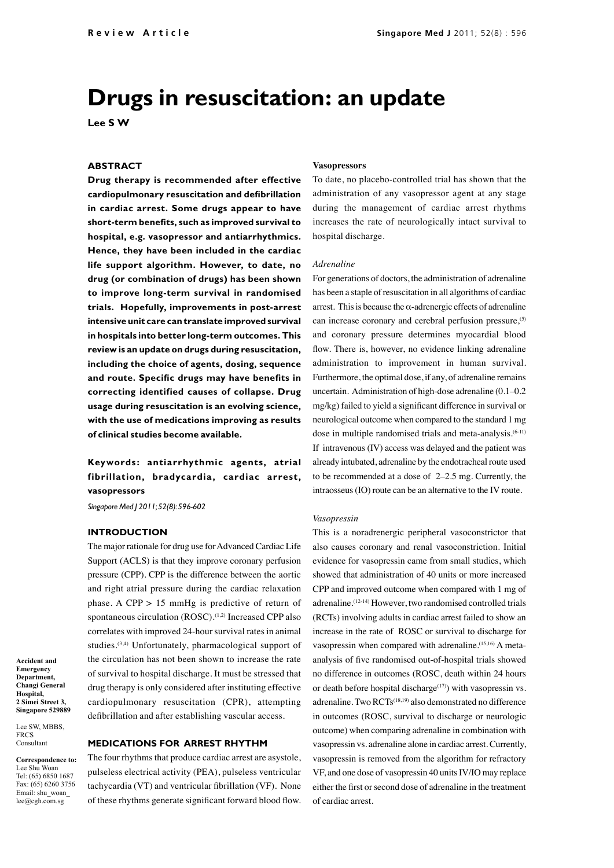# **Drugs in resuscitation: an update**

**Lee S W**

# **ABSTRACT**

**Drug therapy is recommended after effective cardiopulmonary resuscitation and defibrillation in cardiac arrest. Some drugs appear to have short-term benefits, such as improved survival to hospital, e.g. vasopressor and antiarrhythmics. Hence, they have been included in the cardiac life support algorithm. However, to date, no drug (or combination of drugs) has been shown to improve long-term survival in randomised trials. Hopefully, improvements in post-arrest intensive unit care can translate improved survival in hospitals into better long-term outcomes. This review is an update on drugs during resuscitation, including the choice of agents, dosing, sequence and route. Specific drugs may have benefits in correcting identified causes of collapse. Drug usage during resuscitation is an evolving science, with the use of medications improving as results of clinical studies become available.**

**Keywords: antiarrhythmic agents, atrial fibrillation, bradycardia, cardiac arrest, vasopressors**

*Singapore Med J 2011; 52(8): 596-602*

# **INTRODUCTION**

The major rationale for drug use for Advanced Cardiac Life Support (ACLS) is that they improve coronary perfusion pressure (CPP). CPP is the difference between the aortic and right atrial pressure during the cardiac relaxation phase. A CPP > 15 mmHg is predictive of return of spontaneous circulation  $(ROSC)$ .<sup> $(1,2)$ </sup> Increased CPP also correlates with improved 24-hour survival rates in animal studies.(3,4) Unfortunately, pharmacological support of the circulation has not been shown to increase the rate of survival to hospital discharge. It must be stressed that drug therapy is only considered after instituting effective cardiopulmonary resuscitation (CPR), attempting defibrillation and after establishing vascular access.

#### **Accident and Emergency Department, Changi General Hospital, 2 Simei Street 3, Singapore 529889**

Lee SW, MBBS, **FRCS Consultant** 

**Correspondence to:** Lee Shu Woan Tel: (65) 6850 1687 Fax: (65) 6260 3756 Email: shu\_woan\_ lee@cgh.com.sg

# **MEDICATIONS FOR ARREST RHYTHM**

The four rhythms that produce cardiac arrest are asystole, pulseless electrical activity (PEA), pulseless ventricular tachycardia (VT) and ventricular fibrillation (VF). None of these rhythms generate significant forward blood flow.

### **Vasopressors**

To date, no placebo-controlled trial has shown that the administration of any vasopressor agent at any stage during the management of cardiac arrest rhythms increases the rate of neurologically intact survival to hospital discharge.

### *Adrenaline*

For generations of doctors, the administration of adrenaline has been a staple of resuscitation in all algorithms of cardiac arrest. This is because the  $\alpha$ -adrenergic effects of adrenaline can increase coronary and cerebral perfusion pressure,<sup>(5)</sup> and coronary pressure determines myocardial blood flow. There is, however, no evidence linking adrenaline administration to improvement in human survival. Furthermore, the optimal dose, if any, of adrenaline remains uncertain. Administration of high-dose adrenaline (0.1–0.2 mg/kg) failed to yield a significant difference in survival or neurological outcome when compared to the standard 1 mg dose in multiple randomised trials and meta-analysis.<sup>(6-11)</sup> If intravenous (IV) access was delayed and the patient was already intubated, adrenaline by the endotracheal route used to be recommended at a dose of 2–2.5 mg. Currently, the intraosseus (IO) route can be an alternative to the IV route.

### *Vasopressin*

This is a noradrenergic peripheral vasoconstrictor that also causes coronary and renal vasoconstriction. Initial evidence for vasopressin came from small studies, which showed that administration of 40 units or more increased CPP and improved outcome when compared with 1 mg of adrenaline.(12-14) However, two randomised controlled trials (RCTs) involving adults in cardiac arrest failed to show an increase in the rate of ROSC or survival to discharge for vasopressin when compared with adrenaline.<sup>(15,16)</sup> A metaanalysis of five randomised out-of-hospital trials showed no difference in outcomes (ROSC, death within 24 hours or death before hospital discharge<sup> $(17)$ </sup>) with vasopressin vs. adrenaline. Two RCTs(18,19) also demonstrated no difference in outcomes (ROSC, survival to discharge or neurologic outcome) when comparing adrenaline in combination with vasopressin vs. adrenaline alone in cardiac arrest. Currently, vasopressin is removed from the algorithm for refractory VF, and one dose of vasopressin 40 units IV/IO may replace either the first or second dose of adrenaline in the treatment of cardiac arrest.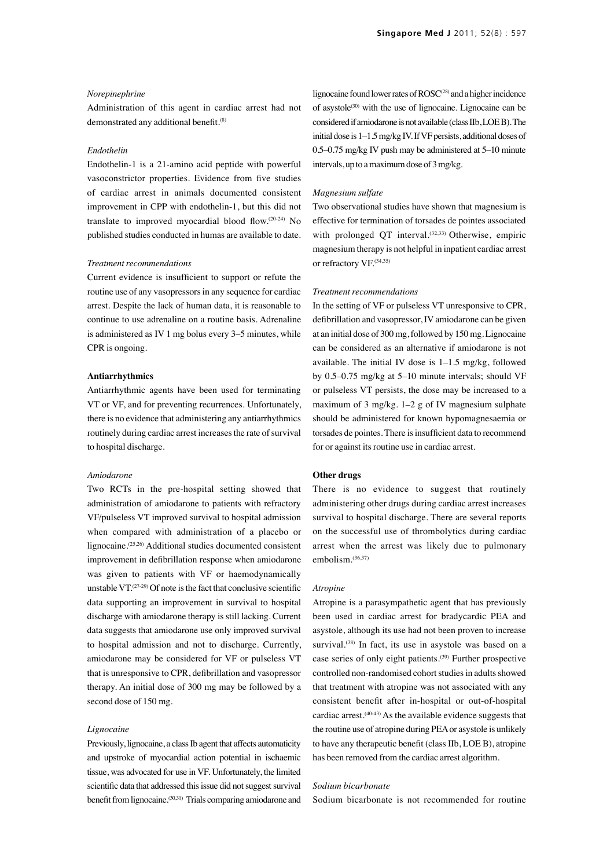### *Norepinephrine*

Administration of this agent in cardiac arrest had not demonstrated any additional benefit.<sup>(8)</sup>

### *Endothelin*

Endothelin-1 is a 21-amino acid peptide with powerful vasoconstrictor properties. Evidence from five studies of cardiac arrest in animals documented consistent improvement in CPP with endothelin-1, but this did not translate to improved myocardial blood flow.(20-24) No published studies conducted in humas are available to date.

### *Treatment recommendations*

Current evidence is insufficient to support or refute the routine use of any vasopressors in any sequence for cardiac arrest. Despite the lack of human data, it is reasonable to continue to use adrenaline on a routine basis. Adrenaline is administered as IV 1 mg bolus every 3–5 minutes, while CPR is ongoing.

# **Antiarrhythmics**

Antiarrhythmic agents have been used for terminating VT or VF, and for preventing recurrences. Unfortunately, there is no evidence that administering any antiarrhythmics routinely during cardiac arrest increases the rate of survival to hospital discharge.

### *Amiodarone*

Two RCTs in the pre-hospital setting showed that administration of amiodarone to patients with refractory VF/pulseless VT improved survival to hospital admission when compared with administration of a placebo or lignocaine.(25,26) Additional studies documented consistent improvement in defibrillation response when amiodarone was given to patients with VF or haemodynamically unstable VT. $(27-29)$  Of note is the fact that conclusive scientific data supporting an improvement in survival to hospital discharge with amiodarone therapy is still lacking. Current data suggests that amiodarone use only improved survival to hospital admission and not to discharge. Currently, amiodarone may be considered for VF or pulseless VT that is unresponsive to CPR, defibrillation and vasopressor therapy. An initial dose of 300 mg may be followed by a second dose of 150 mg.

# *Lignocaine*

Previously, lignocaine, a class Ib agent that affects automaticity and upstroke of myocardial action potential in ischaemic tissue, was advocated for use in VF. Unfortunately, the limited scientific data that addressed this issue did not suggest survival benefit from lignocaine.<sup>(30,31)</sup> Trials comparing amiodarone and

lignocaine found lower rates of ROSC<sup>(28)</sup> and a higher incidence of asystole $(30)$  with the use of lignocaine. Lignocaine can be considered if amiodarone is not available (class IIb, LOE B). The initial dose is 1–1.5 mg/kg IV. If VF persists, additional doses of 0.5–0.75 mg/kg IV push may be administered at 5–10 minute intervals, up to a maximum dose of 3 mg/kg.

### *Magnesium sulfate*

Two observational studies have shown that magnesium is effective for termination of torsades de pointes associated with prolonged QT interval.<sup>(32,33)</sup> Otherwise, empiric magnesium therapy is not helpful in inpatient cardiac arrest or refractory VF.<sup>(34,35)</sup>

### *Treatment recommendations*

In the setting of VF or pulseless VT unresponsive to CPR, defibrillation and vasopressor, IV amiodarone can be given at an initial dose of 300 mg, followed by 150 mg. Lignocaine can be considered as an alternative if amiodarone is not available. The initial IV dose is 1–1.5 mg/kg, followed by 0.5–0.75 mg/kg at 5–10 minute intervals; should VF or pulseless VT persists, the dose may be increased to a maximum of 3 mg/kg.  $1-2$  g of IV magnesium sulphate should be administered for known hypomagnesaemia or torsades de pointes. There is insufficient data to recommend for or against its routine use in cardiac arrest.

# **Other drugs**

There is no evidence to suggest that routinely administering other drugs during cardiac arrest increases survival to hospital discharge. There are several reports on the successful use of thrombolytics during cardiac arrest when the arrest was likely due to pulmonary embolism.(36,37)

### *Atropine*

Atropine is a parasympathetic agent that has previously been used in cardiac arrest for bradycardic PEA and asystole, although its use had not been proven to increase survival.<sup>(38)</sup> In fact, its use in asystole was based on a case series of only eight patients.(39) Further prospective controlled non-randomised cohort studies in adults showed that treatment with atropine was not associated with any consistent benefit after in-hospital or out-of-hospital cardiac arrest. $(40-43)$  As the available evidence suggests that the routine use of atropine during PEA or asystole is unlikely to have any therapeutic benefit (class IIb, LOE B), atropine has been removed from the cardiac arrest algorithm.

### *Sodium bicarbonate*

Sodium bicarbonate is not recommended for routine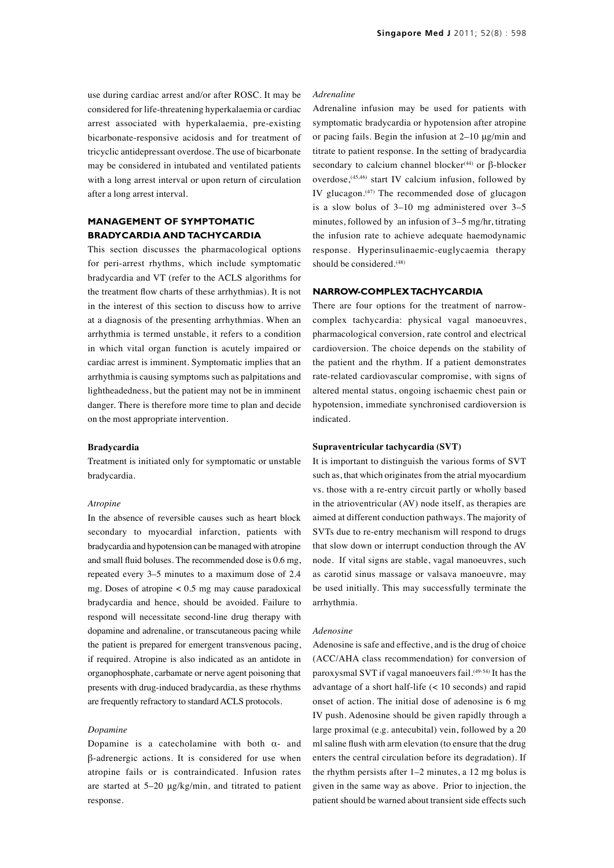use during cardiac arrest and/or after ROSC. It may be considered for life-threatening hyperkalaemia or cardiac arrest associated with hyperkalaemia, pre-existing bicarbonate-responsive acidosis and for treatment of tricyclic antidepressant overdose. The use of bicarbonate may be considered in intubated and ventilated patients with a long arrest interval or upon return of circulation after a long arrest interval.

# **MANAGEMENT OF SYMPTOMATIC BRADYCARDIA AND TACHYCARDIA**

This section discusses the pharmacological options for peri-arrest rhythms, which include symptomatic bradycardia and VT (refer to the ACLS algorithms for the treatment flow charts of these arrhythmias). It is not in the interest of this section to discuss how to arrive at a diagnosis of the presenting arrhythmias. When an arrhythmia is termed unstable, it refers to a condition in which vital organ function is acutely impaired or cardiac arrest is imminent. Symptomatic implies that an arrhythmia is causing symptoms such as palpitations and lightheadedness, but the patient may not be in imminent danger. There is therefore more time to plan and decide on the most appropriate intervention.

### **Bradycardia**

Treatment is initiated only for symptomatic or unstable bradycardia.

### *Atropine*

In the absence of reversible causes such as heart block secondary to myocardial infarction, patients with bradycardia and hypotension can be managed with atropine and small fluid boluses. The recommended dose is 0.6 mg, repeated every 3–5 minutes to a maximum dose of 2.4 mg. Doses of atropine < 0.5 mg may cause paradoxical bradycardia and hence, should be avoided. Failure to respond will necessitate second-line drug therapy with dopamine and adrenaline, or transcutaneous pacing while the patient is prepared for emergent transvenous pacing, if required. Atropine is also indicated as an antidote in organophosphate, carbamate or nerve agent poisoning that presents with drug-induced bradycardia, as these rhythms are frequently refractory to standard ACLS protocols.

# *Dopamine*

Dopamine is a catecholamine with both  $\alpha$ - and β-adrenergic actions. It is considered for use when atropine fails or is contraindicated. Infusion rates are started at 5–20 μg/kg/min, and titrated to patient response.

# *Adrenaline*

Adrenaline infusion may be used for patients with symptomatic bradycardia or hypotension after atropine or pacing fails. Begin the infusion at 2–10 μg/min and titrate to patient response. In the setting of bradycardia secondary to calcium channel blocker<sup>(44)</sup> or β-blocker overdose,<sup>(45,46)</sup> start IV calcium infusion, followed by IV glucagon. $(47)$  The recommended dose of glucagon is a slow bolus of 3–10 mg administered over 3–5 minutes, followed by an infusion of 3–5 mg/hr, titrating the infusion rate to achieve adequate haemodynamic response. Hyperinsulinaemic-euglycaemia therapy should be considered.<sup>(48)</sup>

# **NARROW-COMPLEX TACHYCARDIA**

There are four options for the treatment of narrowcomplex tachycardia: physical vagal manoeuvres, pharmacological conversion, rate control and electrical cardioversion. The choice depends on the stability of the patient and the rhythm. If a patient demonstrates rate-related cardiovascular compromise, with signs of altered mental status, ongoing ischaemic chest pain or hypotension, immediate synchronised cardioversion is indicated.

# **Supraventricular tachycardia (SVT)**

It is important to distinguish the various forms of SVT such as, that which originates from the atrial myocardium vs. those with a re-entry circuit partly or wholly based in the atrioventricular (AV) node itself, as therapies are aimed at different conduction pathways. The majority of SVTs due to re-entry mechanism will respond to drugs that slow down or interrupt conduction through the AV node. If vital signs are stable, vagal manoeuvres, such as carotid sinus massage or valsava manoeuvre, may be used initially. This may successfully terminate the arrhythmia.

### *Adenosine*

Adenosine is safe and effective, and is the drug of choice (ACC/AHA class recommendation) for conversion of paroxysmal SVT if vagal manoeuvers fail.(49-54) It has the advantage of a short half-life (< 10 seconds) and rapid onset of action. The initial dose of adenosine is 6 mg IV push. Adenosine should be given rapidly through a large proximal (e.g. antecubital) vein, followed by a 20 ml saline flush with arm elevation (to ensure that the drug enters the central circulation before its degradation). If the rhythm persists after 1–2 minutes, a 12 mg bolus is given in the same way as above. Prior to injection, the patient should be warned about transient side effects such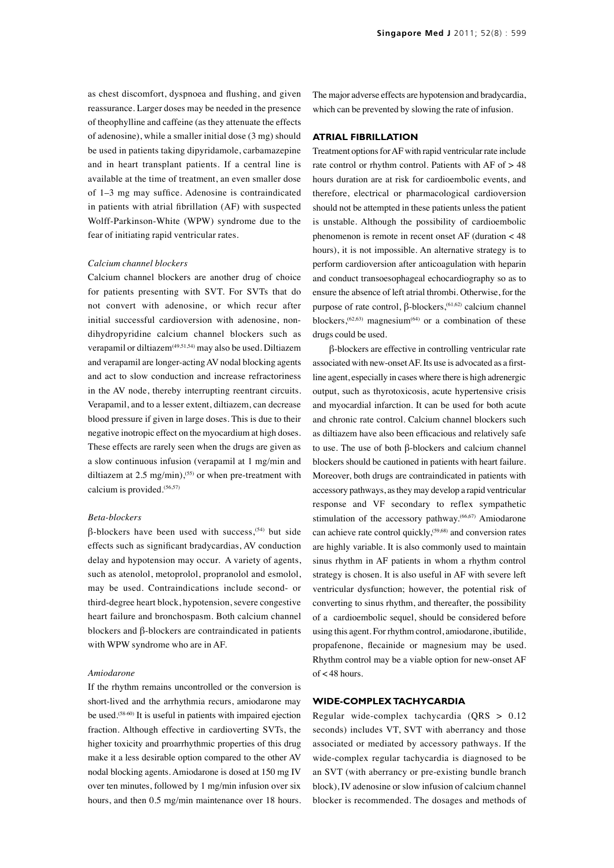as chest discomfort, dyspnoea and flushing, and given reassurance. Larger doses may be needed in the presence of theophylline and caffeine (as they attenuate the effects of adenosine), while a smaller initial dose (3 mg) should be used in patients taking dipyridamole, carbamazepine and in heart transplant patients. If a central line is available at the time of treatment, an even smaller dose of 1–3 mg may suffice. Adenosine is contraindicated in patients with atrial fibrillation (AF) with suspected Wolff-Parkinson-White (WPW) syndrome due to the fear of initiating rapid ventricular rates.

# *Calcium channel blockers*

Calcium channel blockers are another drug of choice for patients presenting with SVT. For SVTs that do not convert with adenosine, or which recur after initial successful cardioversion with adenosine, nondihydropyridine calcium channel blockers such as verapamil or diltiazem<sup>(49,51,54)</sup> may also be used. Diltiazem and verapamil are longer-acting AV nodal blocking agents and act to slow conduction and increase refractoriness in the AV node, thereby interrupting reentrant circuits. Verapamil, and to a lesser extent, diltiazem, can decrease blood pressure if given in large doses. This is due to their negative inotropic effect on the myocardium at high doses. These effects are rarely seen when the drugs are given as a slow continuous infusion (verapamil at 1 mg/min and diltiazem at  $2.5 \text{ mg/min}$ ,<sup>(55)</sup> or when pre-treatment with calcium is provided.(56,57)

### *Beta-blockers*

 $β$ -blockers have been used with success,<sup> $(54)$ </sup> but side effects such as significant bradycardias, AV conduction delay and hypotension may occur. A variety of agents, such as atenolol, metoprolol, propranolol and esmolol, may be used. Contraindications include second- or third-degree heart block, hypotension, severe congestive heart failure and bronchospasm. Both calcium channel blockers and β-blockers are contraindicated in patients with WPW syndrome who are in AF.

### *Amiodarone*

If the rhythm remains uncontrolled or the conversion is short-lived and the arrhythmia recurs, amiodarone may be used.<sup>(58-60)</sup> It is useful in patients with impaired ejection fraction. Although effective in cardioverting SVTs, the higher toxicity and proarrhythmic properties of this drug make it a less desirable option compared to the other AV nodal blocking agents. Amiodarone is dosed at 150 mg IV over ten minutes, followed by 1 mg/min infusion over six hours, and then 0.5 mg/min maintenance over 18 hours. The major adverse effects are hypotension and bradycardia, which can be prevented by slowing the rate of infusion.

# **ATRIAL FIBRILLATION**

Treatment options for AF with rapid ventricular rate include rate control or rhythm control. Patients with AF of > 48 hours duration are at risk for cardioembolic events, and therefore, electrical or pharmacological cardioversion should not be attempted in these patients unless the patient is unstable. Although the possibility of cardioembolic phenomenon is remote in recent onset AF (duration < 48 hours), it is not impossible. An alternative strategy is to perform cardioversion after anticoagulation with heparin and conduct transoesophageal echocardiography so as to ensure the absence of left atrial thrombi. Otherwise, for the purpose of rate control,  $β$ -blockers,<sup> $(61,62)$ </sup> calcium channel blockers,  $(62, 63)$  magnesium<sup>(64)</sup> or a combination of these drugs could be used.

β-blockers are effective in controlling ventricular rate associated with new-onset AF. Its use is advocated as a firstline agent, especially in cases where there is high adrenergic output, such as thyrotoxicosis, acute hypertensive crisis and myocardial infarction. It can be used for both acute and chronic rate control. Calcium channel blockers such as diltiazem have also been efficacious and relatively safe to use. The use of both β-blockers and calcium channel blockers should be cautioned in patients with heart failure. Moreover, both drugs are contraindicated in patients with accessory pathways, as they may develop a rapid ventricular response and VF secondary to reflex sympathetic stimulation of the accessory pathway.<sup>(66,67)</sup> Amiodarone can achieve rate control quickly,(59,68) and conversion rates are highly variable. It is also commonly used to maintain sinus rhythm in AF patients in whom a rhythm control strategy is chosen. It is also useful in AF with severe left ventricular dysfunction; however, the potential risk of converting to sinus rhythm, and thereafter, the possibility of a cardioembolic sequel, should be considered before using this agent. For rhythm control, amiodarone, ibutilide, propafenone, flecainide or magnesium may be used. Rhythm control may be a viable option for new-onset AF of < 48 hours.

# **WIDE-COMPLEX TACHYCARDIA**

Regular wide-complex tachycardia (QRS > 0.12 seconds) includes VT, SVT with aberrancy and those associated or mediated by accessory pathways. If the wide-complex regular tachycardia is diagnosed to be an SVT (with aberrancy or pre-existing bundle branch block), IV adenosine or slow infusion of calcium channel blocker is recommended. The dosages and methods of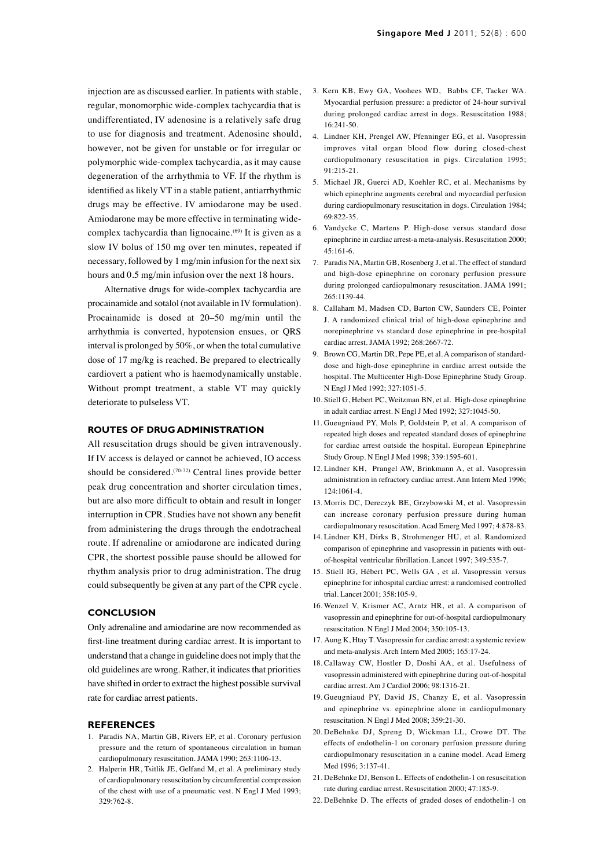injection are as discussed earlier. In patients with stable, regular, monomorphic wide-complex tachycardia that is undifferentiated, IV adenosine is a relatively safe drug to use for diagnosis and treatment. Adenosine should, however, not be given for unstable or for irregular or polymorphic wide-complex tachycardia, as it may cause degeneration of the arrhythmia to VF. If the rhythm is identified as likely VT in a stable patient, antiarrhythmic drugs may be effective. IV amiodarone may be used. Amiodarone may be more effective in terminating widecomplex tachycardia than lignocaine.<sup>(69)</sup> It is given as a slow IV bolus of 150 mg over ten minutes, repeated if necessary, followed by 1 mg/min infusion for the next six hours and 0.5 mg/min infusion over the next 18 hours.

Alternative drugs for wide-complex tachycardia are procainamide and sotalol (not available in IV formulation). Procainamide is dosed at 20–50 mg/min until the arrhythmia is converted, hypotension ensues, or QRS interval is prolonged by 50%, or when the total cumulative dose of 17 mg/kg is reached. Be prepared to electrically cardiovert a patient who is haemodynamically unstable. Without prompt treatment, a stable VT may quickly deteriorate to pulseless VT.

# **ROUTES OF DRUG ADMINISTRATION**

All resuscitation drugs should be given intravenously. If IV access is delayed or cannot be achieved, IO access should be considered.<sup>(70-72)</sup> Central lines provide better peak drug concentration and shorter circulation times, but are also more difficult to obtain and result in longer interruption in CPR. Studies have not shown any benefit from administering the drugs through the endotracheal route. If adrenaline or amiodarone are indicated during CPR, the shortest possible pause should be allowed for rhythm analysis prior to drug administration. The drug could subsequently be given at any part of the CPR cycle.

# **CONCLUSION**

Only adrenaline and amiodarine are now recommended as first-line treatment during cardiac arrest. It is important to understand that a change in guideline does not imply that the old guidelines are wrong. Rather, it indicates that priorities have shifted in order to extract the highest possible survival rate for cardiac arrest patients.

### **REFERENCES**

- 1. Paradis NA, Martin GB, Rivers EP, et al. Coronary perfusion pressure and the return of spontaneous circulation in human cardiopulmonary resuscitation. JAMA 1990; 263:1106-13.
- 2. Halperin HR, Tsitlik JE, Gelfand M, et al. A preliminary study of cardiopulmonary resuscitation by circumferential compression of the chest with use of a pneumatic vest. N Engl J Med 1993; 329:762-8.
- 3. Kern KB, Ewy GA, Voohees WD, Babbs CF, Tacker WA. Myocardial perfusion pressure: a predictor of 24-hour survival during prolonged cardiac arrest in dogs. Resuscitation 1988; 16:241-50.
- 4. Lindner KH, Prengel AW, Pfenninger EG, et al. Vasopressin improves vital organ blood flow during closed-chest cardiopulmonary resuscitation in pigs. Circulation 1995; 91:215-21.
- 5. Michael JR, Guerci AD, Koehler RC, et al. Mechanisms by which epinephrine augments cerebral and myocardial perfusion during cardiopulmonary resuscitation in dogs. Circulation 1984; 69:822-35.
- 6. Vandycke C, Martens P. High-dose versus standard dose epinephrine in cardiac arrest-a meta-analysis. Resuscitation 2000; 45:161-6.
- 7. Paradis NA, Martin GB, Rosenberg J, et al. The effect of standard and high-dose epinephrine on coronary perfusion pressure during prolonged cardiopulmonary resuscitation. JAMA 1991; 265:1139-44.
- 8. Callaham M, Madsen CD, Barton CW, Saunders CE, Pointer J. A randomized clinical trial of high-dose epinephrine and norepinephrine vs standard dose epinephrine in pre-hospital cardiac arrest. JAMA 1992; 268:2667-72.
- 9. Brown CG, Martin DR, Pepe PE, et al. A comparison of standarddose and high-dose epinephrine in cardiac arrest outside the hospital. The Multicenter High-Dose Epinephrine Study Group. N Engl J Med 1992; 327:1051-5.
- 10. Stiell G, Hebert PC, Weitzman BN, et al. High-dose epinephrine in adult cardiac arrest. N Engl J Med 1992; 327:1045-50.
- 11. Gueugniaud PY, Mols P, Goldstein P, et al. A comparison of repeated high doses and repeated standard doses of epinephrine for cardiac arrest outside the hospital. European Epinephrine Study Group. N Engl J Med 1998; 339:1595-601.
- 12. Lindner KH, Prangel AW, Brinkmann A, et al. Vasopressin administration in refractory cardiac arrest. Ann Intern Med 1996; 124:1061-4.
- 13. Morris DC, Dereczyk BE, Grzybowski M, et al. Vasopressin can increase coronary perfusion pressure during human cardiopulmonary resuscitation. Acad Emerg Med 1997; 4:878-83.
- 14. Lindner KH, Dirks B, Strohmenger HU, et al. Randomized comparison of epinephrine and vasopressin in patients with outof-hospital ventricular fibrillation. Lancet 1997; 349:535-7.
- 15. Stiell IG, Hébert PC, Wells GA , et al. Vasopressin versus epinephrine for inhospital cardiac arrest: a randomised controlled trial. Lancet 2001; 358:105-9.
- 16. Wenzel V, Krismer AC, Arntz HR, et al. A comparison of vasopressin and epinephrine for out-of-hospital cardiopulmonary resuscitation. N Engl J Med 2004; 350:105-13.
- 17. Aung K, Htay T. Vasopressin for cardiac arrest: a systemic review and meta-analysis. Arch Intern Med 2005; 165:17-24.
- 18. Callaway CW, Hostler D, Doshi AA, et al. Usefulness of vasopressin administered with epinephrine during out-of-hospital cardiac arrest. Am J Cardiol 2006; 98:1316-21.
- 19. Gueugniaud PY, David JS, Chanzy E, et al. Vasopressin and epinephrine vs. epinephrine alone in cardiopulmonary resuscitation. N Engl J Med 2008; 359:21-30.
- 20. DeBehnke DJ, Spreng D, Wickman LL, Crowe DT. The effects of endothelin-1 on coronary perfusion pressure during cardiopulmonary resuscitation in a canine model. Acad Emerg Med 1996; 3:137-41.
- 21. DeBehnke DJ, Benson L. Effects of endothelin-1 on resuscitation rate during cardiac arrest. Resuscitation 2000; 47:185-9.
- 22. DeBehnke D. The effects of graded doses of endothelin-1 on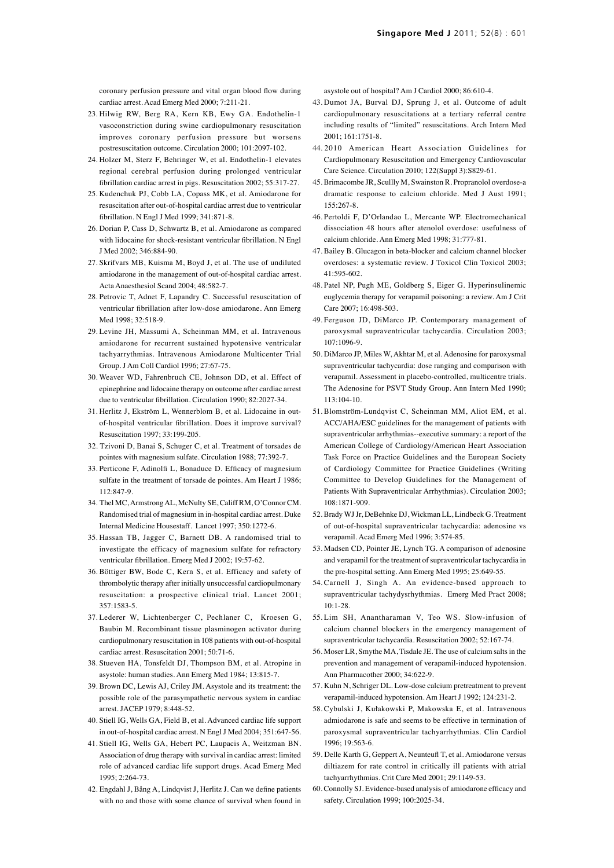coronary perfusion pressure and vital organ blood flow during cardiac arrest. Acad Emerg Med 2000; 7:211-21.

- 23. Hilwig RW, Berg RA, Kern KB, Ewy GA. Endothelin-1 vasoconstriction during swine cardiopulmonary resuscitation improves coronary perfusion pressure but worsens postresuscitation outcome. Circulation 2000; 101:2097-102.
- 24. Holzer M, Sterz F, Behringer W, et al. Endothelin-1 elevates regional cerebral perfusion during prolonged ventricular fibrillation cardiac arrest in pigs. Resuscitation 2002; 55:317-27.
- 25. Kudenchuk PJ, Cobb LA, Copass MK, et al. Amiodarone for resuscitation after out-of-hospital cardiac arrest due to ventricular fibrillation. N Engl J Med 1999; 341:871-8.
- 26. Dorian P, Cass D, Schwartz B, et al. Amiodarone as compared with lidocaine for shock-resistant ventricular fibrillation. N Engl J Med 2002; 346:884-90.
- 27. Skrifvars MB, Kuisma M, Boyd J, et al. The use of undiluted amiodarone in the management of out-of-hospital cardiac arrest. Acta Anaesthesiol Scand 2004; 48:582-7.
- 28. Petrovic T, Adnet F, Lapandry C. Successful resuscitation of ventricular fibrillation after low-dose amiodarone. Ann Emerg Med 1998; 32:518-9.
- 29. Levine JH, Massumi A, Scheinman MM, et al. Intravenous amiodarone for recurrent sustained hypotensive ventricular tachyarrythmias. Intravenous Amiodarone Multicenter Trial Group. J Am Coll Cardiol 1996; 27:67-75.
- 30. Weaver WD, Fahrenbruch CE, Johnson DD, et al. Effect of epinephrine and lidocaine therapy on outcome after cardiac arrest due to ventricular fibrillation. Circulation 1990; 82:2027-34.
- 31. Herlitz J, Ekström L, Wennerblom B, et al. Lidocaine in outof-hospital ventricular fibrillation. Does it improve survival? Resuscitation 1997; 33:199-205.
- 32. Tzivoni D, Banai S, Schuger C, et al. Treatment of torsades de pointes with magnesium sulfate. Circulation 1988; 77:392-7.
- 33. Perticone F, Adinolfi L, Bonaduce D. Efficacy of magnesium sulfate in the treatment of torsade de pointes. Am Heart J 1986; 112:847-9.
- 34. Thel MC, Armstrong AL, McNulty SE, Califf RM, O'Connor CM. Randomised trial of magnesium in in-hospital cardiac arrest. Duke Internal Medicine Housestaff. Lancet 1997; 350:1272-6.
- 35. Hassan TB, Jagger C, Barnett DB. A randomised trial to investigate the efficacy of magnesium sulfate for refractory ventricular fibrillation. Emerg Med J 2002; 19:57-62.
- 36. Böttiger BW, Bode C, Kern S, et al. Efficacy and safety of thrombolytic therapy after initially unsuccessful cardiopulmonary resuscitation: a prospective clinical trial. Lancet 2001; 357:1583-5.
- 37. Lederer W, Lichtenberger C, Pechlaner C, Kroesen G, Baubin M. Recombinant tissue plasminogen activator during cardiopulmonary resuscitation in 108 patients with out-of-hospital cardiac arrest. Resuscitation 2001; 50:71-6.
- 38. Stueven HA, Tonsfeldt DJ, Thompson BM, et al. Atropine in asystole: human studies. Ann Emerg Med 1984; 13:815-7.
- 39. Brown DC, Lewis AJ, Criley JM. Asystole and its treatment: the possible role of the parasympathetic nervous system in cardiac arrest. JACEP 1979; 8:448-52.
- 40. Stiell IG, Wells GA, Field B, et al. Advanced cardiac life support in out-of-hospital cardiac arrest. N Engl J Med 2004; 351:647-56.
- 41. Stiell IG, Wells GA, Hebert PC, Laupacis A, Weitzman BN. Association of drug therapy with survival in cardiac arrest: limited role of advanced cardiac life support drugs. Acad Emerg Med 1995; 2:264-73.
- 42. Engdahl J, Bång A, Lindqvist J, Herlitz J. Can we define patients with no and those with some chance of survival when found in

asystole out of hospital? Am J Cardiol 2000; 86:610-4.

- 43. Dumot JA, Burval DJ, Sprung J, et al. Outcome of adult cardiopulmonary resuscitations at a tertiary referral centre including results of "limited" resuscitations. Arch Intern Med 2001; 161:1751-8.
- 44. 2010 American Heart Association Guidelines for Cardiopulmonary Resuscitation and Emergency Cardiovascular Care Science. Circulation 2010; 122(Suppl 3):S829-61.
- 45. Brimacombe JR, Scullly M, Swainston R. Propranolol overdose-a dramatic response to calcium chloride. Med J Aust 1991; 155:267-8.
- 46. Pertoldi F, D'Orlandao L, Mercante WP. Electromechanical dissociation 48 hours after atenolol overdose: usefulness of calcium chloride. Ann Emerg Med 1998; 31:777-81.
- 47. Bailey B. Glucagon in beta-blocker and calcium channel blocker overdoses: a systematic review. J Toxicol Clin Toxicol 2003; 41:595-602.
- 48. Patel NP, Pugh ME, Goldberg S, Eiger G. Hyperinsulinemic euglycemia therapy for verapamil poisoning: a review. Am J Crit Care 2007; 16:498-503.
- 49. Ferguson JD, DiMarco JP. Contemporary management of paroxysmal supraventricular tachycardia. Circulation 2003; 107:1096-9.
- 50. DiMarco JP, Miles W, Akhtar M, et al. Adenosine for paroxysmal supraventricular tachycardia: dose ranging and comparison with verapamil. Assessment in placebo-controlled, multicentre trials. The Adenosine for PSVT Study Group. Ann Intern Med 1990; 113:104-10.
- 51. Blomström-Lundqvist C, Scheinman MM, Aliot EM, et al. ACC/AHA/ESC guidelines for the management of patients with supraventricular arrhythmias--executive summary: a report of the American College of Cardiology/American Heart Association Task Force on Practice Guidelines and the European Society of Cardiology Committee for Practice Guidelines (Writing Committee to Develop Guidelines for the Management of Patients With Supraventricular Arrhythmias). Circulation 2003; 108:1871-909.
- 52. Brady WJ Jr, DeBehnke DJ, Wickman LL, Lindbeck G. Treatment of out-of-hospital supraventricular tachycardia: adenosine vs verapamil. Acad Emerg Med 1996; 3:574-85.
- 53. Madsen CD, Pointer JE, Lynch TG. A comparison of adenosine and verapamil for the treatment of supraventricular tachycardia in the pre-hospital setting. Ann Emerg Med 1995; 25:649-55.
- 54. Carnell J, Singh A. An evidence-based approach to supraventricular tachydysrhythmias. Emerg Med Pract 2008; 10:1-28.
- 55. Lim SH, Anantharaman V, Teo WS. Slow-infusion of calcium channel blockers in the emergency management of supraventricular tachycardia. Resuscitation 2002; 52:167-74.
- 56. Moser LR, Smythe MA, Tisdale JE. The use of calcium salts in the prevention and management of verapamil-induced hypotension. Ann Pharmacother 2000; 34:622-9.
- 57. Kuhn N, Schriger DL. Low-dose calcium pretreatment to prevent verapamil-induced hypotension. Am Heart J 1992; 124:231-2.
- 58. Cybulski J, Kułakowski P, Makowska E, et al. Intravenous admiodarone is safe and seems to be effective in termination of paroxysmal supraventricular tachyarrhythmias. Clin Cardiol 1996; 19:563-6.
- 59. Delle Karth G, Geppert A, Neunteufl T, et al. Amiodarone versus diltiazem for rate control in critically ill patients with atrial tachyarrhythmias. Crit Care Med 2001; 29:1149-53.
- 60. Connolly SJ. Evidence-based analysis of amiodarone efficacy and safety. Circulation 1999; 100:2025-34.